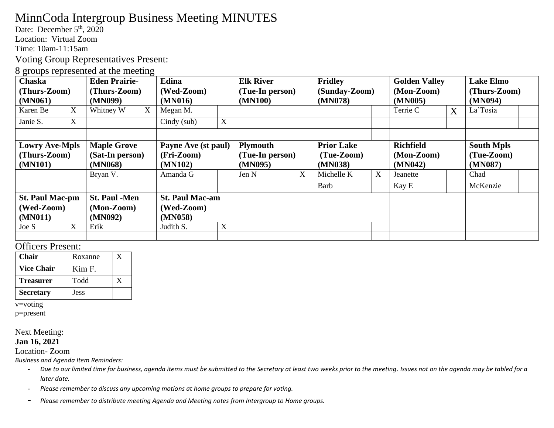# MinnCoda Intergroup Business Meeting MINUTES

Date: December 5<sup>th</sup>, 2020

Location: Virtual Zoom

Time: 10am-11:15am

Voting Group Representatives Present:

8 groups represented at the meeting

| <b>Chaska</b>          |   | <b>Eden Prairie-</b> |                           | Edina                  |   | <b>Elk River</b> |   | <b>Fridley</b>    |                  | <b>Golden Valley</b> |   | <b>Lake Elmo</b>  |  |
|------------------------|---|----------------------|---------------------------|------------------------|---|------------------|---|-------------------|------------------|----------------------|---|-------------------|--|
| (Thurs-Zoom)           |   | (Thurs-Zoom)         |                           | (Wed-Zoom)             |   | (Tue-In person)  |   | (Sunday-Zoom)     |                  | (Mon-Zoom)           |   | (Thurs-Zoom)      |  |
| (MN061)                |   | (MN099)              |                           | (MN016)                |   | (MN100)          |   | (MN078)           |                  | (MN005)              |   | (MN094)           |  |
| Karen Be               | X | Whitney W            | $\boldsymbol{\mathrm{X}}$ | Megan M.               |   |                  |   |                   |                  | Terrie C             | X | La'Tosia          |  |
| Janie S.               | X |                      |                           | Cindy (sub)            | X |                  |   |                   |                  |                      |   |                   |  |
|                        |   |                      |                           |                        |   |                  |   |                   |                  |                      |   |                   |  |
| <b>Lowry Ave-Mpls</b>  |   | <b>Maple Grove</b>   |                           | Payne Ave (st paul)    |   | <b>Plymouth</b>  |   | <b>Prior Lake</b> |                  | <b>Richfield</b>     |   | <b>South Mpls</b> |  |
| (Thurs-Zoom)           |   | (Sat-In person)      |                           | (Fri-Zoom)             |   | (Tue-In person)  |   | $(Tue-Zoom)$      |                  | (Mon-Zoom)           |   | (Tue-Zoom)        |  |
| (MN101)                |   | (MN068)              |                           | (MN102)                |   | (MN095)          |   | (MN038)           |                  | (MN042)              |   | (MN087)           |  |
|                        |   | Bryan V.             |                           | Amanda G               |   | Jen N            | X | Michelle K        | $\boldsymbol{X}$ | Jeanette             |   | Chad              |  |
|                        |   |                      |                           |                        |   |                  |   | Barb              |                  | Kay E                |   | McKenzie          |  |
| <b>St. Paul Mac-pm</b> |   | <b>St. Paul -Men</b> |                           | <b>St. Paul Mac-am</b> |   |                  |   |                   |                  |                      |   |                   |  |
| (Wed-Zoom)             |   | (Mon-Zoom)           |                           | (Wed-Zoom)             |   |                  |   |                   |                  |                      |   |                   |  |
| (MN011)                |   | (MN092)              |                           | (MN058)                |   |                  |   |                   |                  |                      |   |                   |  |
| Joe S                  | X | Erik                 |                           | Judith S.              | X |                  |   |                   |                  |                      |   |                   |  |
|                        |   |                      |                           |                        |   |                  |   |                   |                  |                      |   |                   |  |

### Officers Present:

| Chair             | Roxanne     |  |
|-------------------|-------------|--|
| <b>Vice Chair</b> | Kim F.      |  |
| <b>Treasurer</b>  | Todd        |  |
| <b>Secretary</b>  | <b>Jess</b> |  |

v=voting

p=present

#### Next Meeting: **Jan 16, 2021**

Location- Zoom

*Business and Agenda Item Reminders:*

- *Due to our limited time for business, agenda items must be submitted to the Secretary at least two weeks prior to the meeting. Issues not on the agenda may be tabled for a later date.*
- *Please remember to discuss any upcoming motions at home groups to prepare for voting.*
- *Please remember to distribute meeting Agenda and Meeting notes from Intergroup to Home groups.*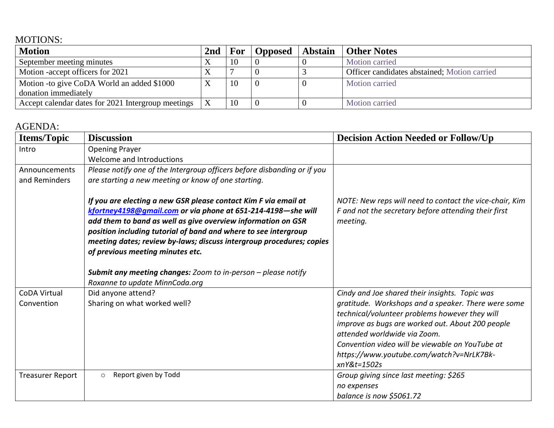## MOTIONS:

| <b>Motion</b>                                      | 2nd | <b>For</b> | <b>Opposed</b> | Abstain | <b>Other Notes</b>                           |  |
|----------------------------------------------------|-----|------------|----------------|---------|----------------------------------------------|--|
| September meeting minutes                          |     | 10         |                |         | Motion carried                               |  |
| Motion -accept officers for 2021                   |     |            |                |         | Officer candidates abstained; Motion carried |  |
| Motion -to give CoDA World an added \$1000         |     | 10         |                |         | Motion carried                               |  |
| donation immediately                               |     |            |                |         |                                              |  |
| Accept calendar dates for 2021 Intergroup meetings |     | 10         |                |         | Motion carried                               |  |

## AGENDA:

| <b>Items/Topic</b>      | <b>Discussion</b>                                                        | <b>Decision Action Needed or Follow/Up</b>              |
|-------------------------|--------------------------------------------------------------------------|---------------------------------------------------------|
| Intro                   | <b>Opening Prayer</b>                                                    |                                                         |
|                         | Welcome and Introductions                                                |                                                         |
| Announcements           | Please notify one of the Intergroup officers before disbanding or if you |                                                         |
| and Reminders           | are starting a new meeting or know of one starting.                      |                                                         |
|                         |                                                                          |                                                         |
|                         | If you are electing a new GSR please contact Kim F via email at          | NOTE: New reps will need to contact the vice-chair, Kim |
|                         | kfortney4198@gmail.com or via phone at 651-214-4198-she will             | F and not the secretary before attending their first    |
|                         | add them to band as well as give overview information on GSR             | meeting.                                                |
|                         | position including tutorial of band and where to see intergroup          |                                                         |
|                         | meeting dates; review by-laws; discuss intergroup procedures; copies     |                                                         |
|                         | of previous meeting minutes etc.                                         |                                                         |
|                         | <b>Submit any meeting changes:</b> Zoom to in-person – please notify     |                                                         |
|                         | Roxanne to update MinnCoda.org                                           |                                                         |
| <b>CoDA Virtual</b>     | Did anyone attend?                                                       | Cindy and Joe shared their insights. Topic was          |
| Convention              | Sharing on what worked well?                                             | gratitude. Workshops and a speaker. There were some     |
|                         |                                                                          | technical/volunteer problems however they will          |
|                         |                                                                          | improve as bugs are worked out. About 200 people        |
|                         |                                                                          | attended worldwide via Zoom.                            |
|                         |                                                                          | Convention video will be viewable on YouTube at         |
|                         |                                                                          | https://www.youtube.com/watch?v=NrLK7Bk-                |
|                         |                                                                          | xnY&t=1502s                                             |
| <b>Treasurer Report</b> | Report given by Todd<br>$\circ$                                          | Group giving since last meeting: \$265                  |
|                         |                                                                          | no expenses                                             |
|                         |                                                                          | balance is now \$5061.72                                |